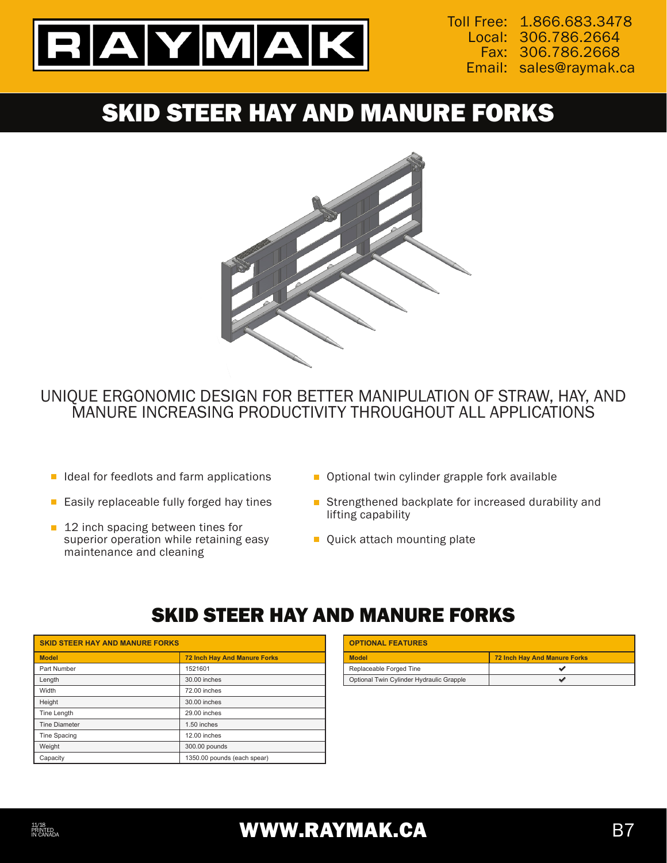

Toll Free: 1.866.683.3478 306.786.2664 Local: 306.786.2668 Fax: Email: sales@raymak.ca

# SKID STEER HAY AND MANURE FORKS



#### UNIQUE ERGONOMIC DESIGN FOR BETTER MANIPULATION OF STRAW, HAY, AND MANURE INCREASING PRODUCTIVITY THROUGHOUT ALL APPLICATIONS

- $\blacksquare$  Ideal for feedlots and farm applications
- $\blacksquare$  Easily replaceable fully forged hay tines
- 12 inch spacing between tines for superior operation while retaining easy maintenance and cleaning
- **D** Optional twin cylinder grapple fork available
- Strengthened backplate for increased durability and lifting capability
- **Quick attach mounting plate**

## SKID STEER HAY AND MANURE FORKS

| <b>SKID STEER HAY AND MANURE FORKS</b> |                                     | <b>OPTIONAL FEATURES</b>                 |                                     |
|----------------------------------------|-------------------------------------|------------------------------------------|-------------------------------------|
| <b>Model</b>                           | <b>72 Inch Hay And Manure Forks</b> | <b>Model</b>                             | <b>72 Inch Hay And Manure Forks</b> |
| Part Number                            | 1521601                             | Replaceable Forged Tine                  |                                     |
| Length                                 | 30,00 inches                        | Optional Twin Cylinder Hydraulic Grapple |                                     |
| Width                                  | 72.00 inches                        |                                          |                                     |
| Height                                 | 30.00 inches                        |                                          |                                     |
| Tine Length                            | 29.00 inches                        |                                          |                                     |
| <b>Tine Diameter</b>                   | 1.50 inches                         |                                          |                                     |
| Tine Spacing                           | 12.00 inches                        |                                          |                                     |
| Weight                                 | 300.00 pounds                       |                                          |                                     |
| Capacity                               | 1350.00 pounds (each spear)         |                                          |                                     |

| <b>OPTIONAL FEATURES</b>                 |                              |  |
|------------------------------------------|------------------------------|--|
| <b>Model</b>                             | 72 Inch Hay And Manure Forks |  |
| Replaceable Forged Tine                  |                              |  |
| Optional Twin Cylinder Hydraulic Grapple |                              |  |